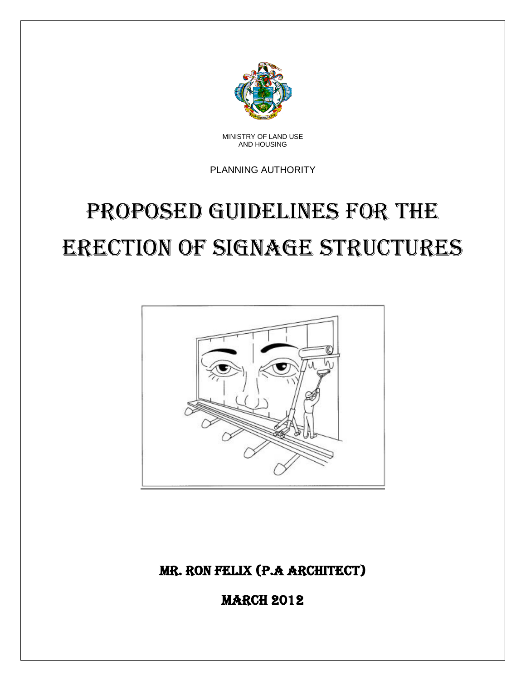

MINISTRY OF LAND USE AND HOUSING

PLANNING AUTHORITY

# PROPOSED GUIDELINES FOR THE erection of signage structures



Mr. Ron Felix (P.A architect)

**MARCH 2012**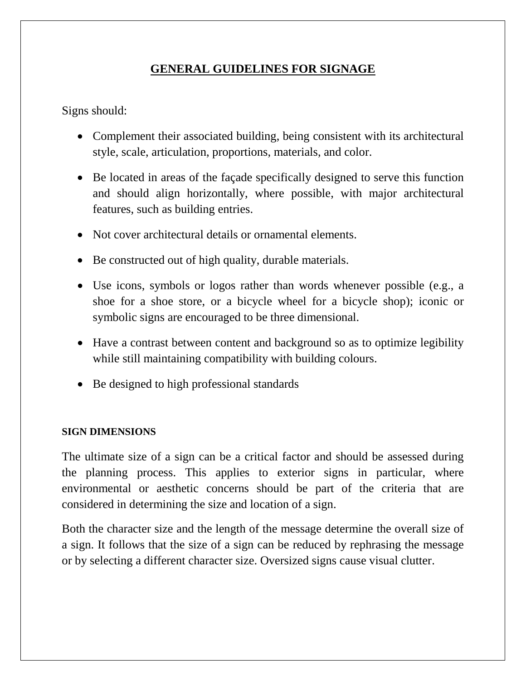# **GENERAL GUIDELINES FOR SIGNAGE**

Signs should:

- Complement their associated building, being consistent with its architectural style, scale, articulation, proportions, materials, and color.
- Be located in areas of the façade specifically designed to serve this function and should align horizontally, where possible, with major architectural features, such as building entries.
- Not cover architectural details or ornamental elements.
- Be constructed out of high quality, durable materials.
- Use icons, symbols or logos rather than words whenever possible (e.g., a shoe for a shoe store, or a bicycle wheel for a bicycle shop); iconic or symbolic signs are encouraged to be three dimensional.
- Have a contrast between content and background so as to optimize legibility while still maintaining compatibility with building colours.
- Be designed to high professional standards

#### **SIGN DIMENSIONS**

The ultimate size of a sign can be a critical factor and should be assessed during the planning process. This applies to exterior signs in particular, where environmental or aesthetic concerns should be part of the criteria that are considered in determining the size and location of a sign.

Both the character size and the length of the message determine the overall size of a sign. It follows that the size of a sign can be reduced by rephrasing the message or by selecting a different character size. Oversized signs cause visual clutter.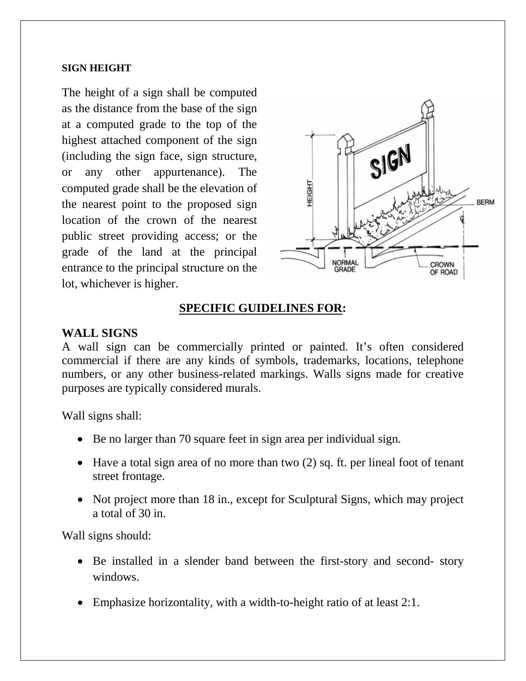#### **SIGN HEIGHT**

The height of a sign shall be computed as the distance from the base of the sign at a computed grade to the top of the highest attached component of the sign (including the sign face, sign structure, or any other appurtenance). The computed grade shall be the elevation of the nearest point to the proposed sign location of the crown of the nearest public street providing access; or the grade of the land at the principal entrance to the principal structure on the lot, whichever is higher.



## **SPECIFIC GUIDELINES FOR:**

#### **WALL SIGNS**

A wall sign can be commercially printed or painted. It's often considered commercial if there are any kinds of symbols, trademarks, locations, telephone numbers, or any other business-related markings. Walls signs made for creative purposes are typically considered murals.

Wall signs shall:

- Be no larger than 70 square feet in sign area per individual sign.
- Have a total sign area of no more than two (2) sq. ft. per lineal foot of tenant street frontage.
- Not project more than 18 in., except for Sculptural Signs, which may project a total of 30 in.

Wall signs should:

- Be installed in a slender band between the first-story and second- story windows.
- Emphasize horizontality, with a width-to-height ratio of at least 2:1.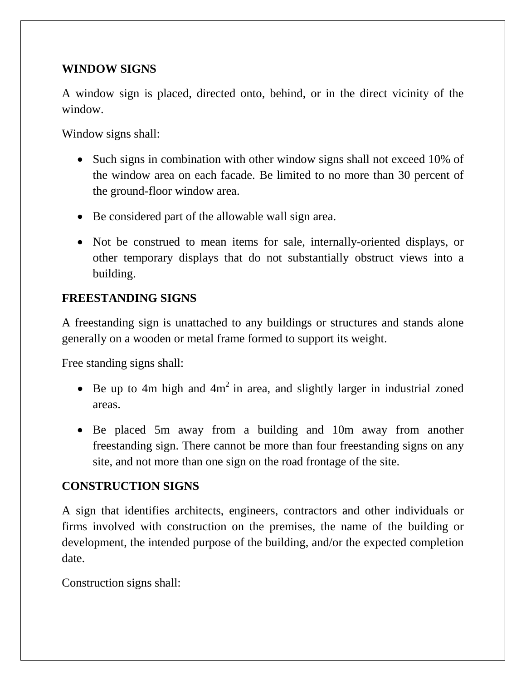## **WINDOW SIGNS**

A window sign is placed, directed onto, behind, or in the direct vicinity of the window.

Window signs shall:

- Such signs in combination with other window signs shall not exceed 10% of the window area on each facade. Be limited to no more than 30 percent of the ground-floor window area.
- Be considered part of the allowable wall sign area.
- Not be construed to mean items for sale, internally-oriented displays, or other temporary displays that do not substantially obstruct views into a building.

## **FREESTANDING SIGNS**

A freestanding sign is unattached to any buildings or structures and stands alone generally on a wooden or metal frame formed to support its weight.

Free standing signs shall:

- Be up to 4m high and  $4m^2$  in area, and slightly larger in industrial zoned areas.
- Be placed 5m away from a building and 10m away from another freestanding sign. There cannot be more than four freestanding signs on any site, and not more than one sign on the road frontage of the site.

## **CONSTRUCTION SIGNS**

A sign that identifies architects, engineers, contractors and other individuals or firms involved with construction on the premises, the name of the building or development, the intended purpose of the building, and/or the expected completion date.

Construction signs shall: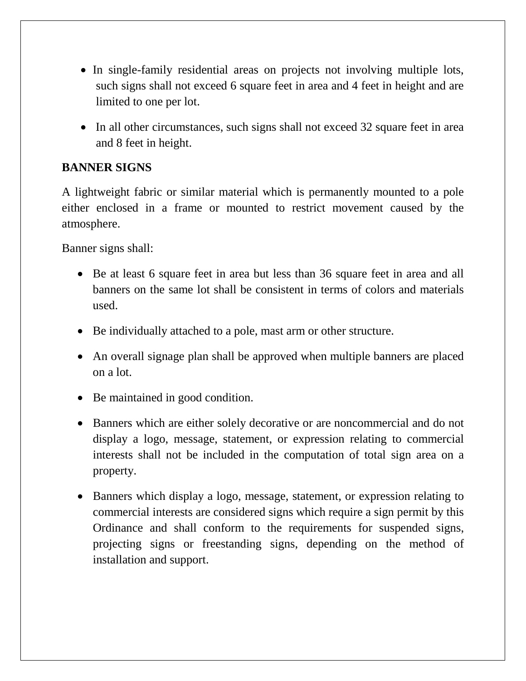- In single-family residential areas on projects not involving multiple lots, such signs shall not exceed 6 square feet in area and 4 feet in height and are limited to one per lot.
- In all other circumstances, such signs shall not exceed 32 square feet in area and 8 feet in height.

## **BANNER SIGNS**

A lightweight fabric or similar material which is permanently mounted to a pole either enclosed in a frame or mounted to restrict movement caused by the atmosphere.

Banner signs shall:

- Be at least 6 square feet in area but less than 36 square feet in area and all banners on the same lot shall be consistent in terms of colors and materials used.
- Be individually attached to a pole, mast arm or other structure.
- An overall signage plan shall be approved when multiple banners are placed on a lot.
- Be maintained in good condition.
- Banners which are either solely decorative or are noncommercial and do not display a logo, message, statement, or expression relating to commercial interests shall not be included in the computation of total sign area on a property.
- Banners which display a logo, message, statement, or expression relating to commercial interests are considered signs which require a sign permit by this Ordinance and shall conform to the requirements for suspended signs, projecting signs or freestanding signs, depending on the method of installation and support.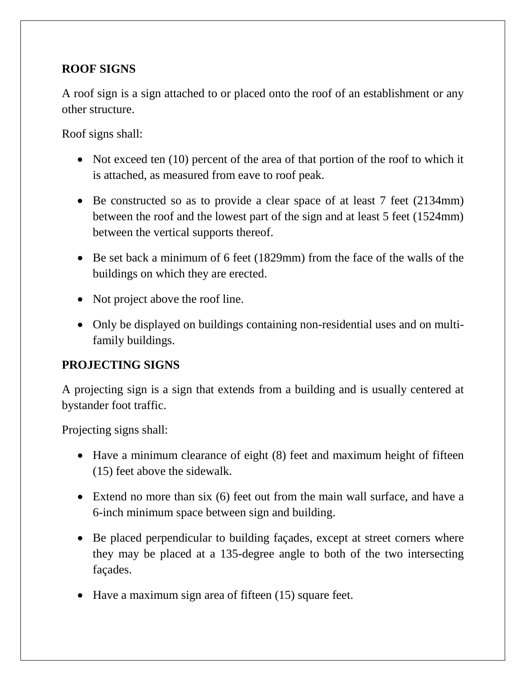# **ROOF SIGNS**

A roof sign is a sign attached to or placed onto the roof of an establishment or any other structure.

Roof signs shall:

- Not exceed ten (10) percent of the area of that portion of the roof to which it is attached, as measured from eave to roof peak.
- Be constructed so as to provide a clear space of at least 7 feet (2134mm) between the roof and the lowest part of the sign and at least 5 feet (1524mm) between the vertical supports thereof.
- Be set back a minimum of 6 feet (1829mm) from the face of the walls of the buildings on which they are erected.
- Not project above the roof line.
- Only be displayed on buildings containing non-residential uses and on multifamily buildings.

# **PROJECTING SIGNS**

A projecting sign is a sign that extends from a building and is usually centered at bystander foot traffic.

Projecting signs shall:

- Have a minimum clearance of eight (8) feet and maximum height of fifteen (15) feet above the sidewalk.
- Extend no more than six (6) feet out from the main wall surface, and have a 6-inch minimum space between sign and building.
- Be placed perpendicular to building façades, except at street corners where they may be placed at a 135-degree angle to both of the two intersecting façades.
- Have a maximum sign area of fifteen (15) square feet.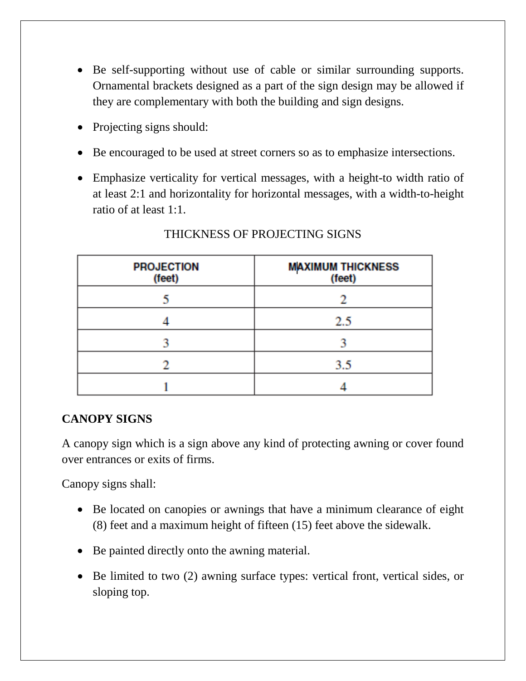- Be self-supporting without use of cable or similar surrounding supports. Ornamental brackets designed as a part of the sign design may be allowed if they are complementary with both the building and sign designs.
- Projecting signs should:
- Be encouraged to be used at street corners so as to emphasize intersections.
- Emphasize verticality for vertical messages, with a height-to width ratio of at least 2:1 and horizontality for horizontal messages, with a width-to-height ratio of at least 1:1.

| <b>PROJECTION</b><br>(feet) | <b>MAXIMUM THICKNESS</b><br>(feet) |  |
|-----------------------------|------------------------------------|--|
|                             |                                    |  |
|                             | 2.5                                |  |
|                             |                                    |  |
|                             | 3.5                                |  |
|                             |                                    |  |

#### THICKNESS OF PROJECTING SIGNS

## **CANOPY SIGNS**

A canopy sign which is a sign above any kind of protecting awning or cover found over entrances or exits of firms.

Canopy signs shall:

- Be located on canopies or awnings that have a minimum clearance of eight (8) feet and a maximum height of fifteen (15) feet above the sidewalk.
- Be painted directly onto the awning material.
- Be limited to two (2) awning surface types: vertical front, vertical sides, or sloping top.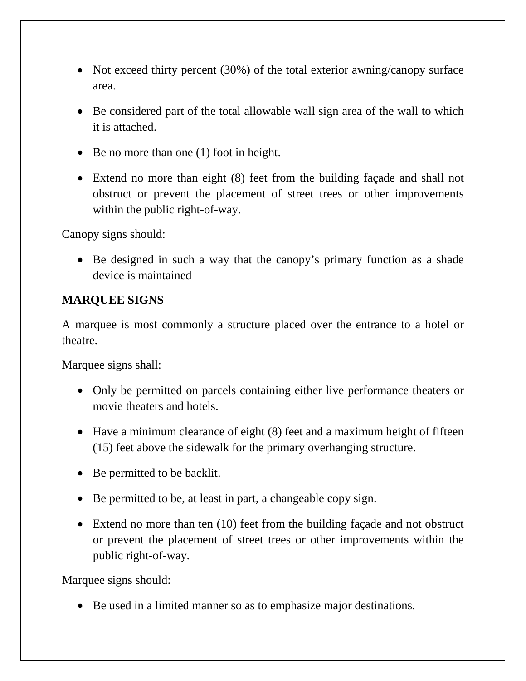- Not exceed thirty percent (30%) of the total exterior awning/canopy surface area.
- Be considered part of the total allowable wall sign area of the wall to which it is attached.
- Be no more than one (1) foot in height.
- Extend no more than eight (8) feet from the building façade and shall not obstruct or prevent the placement of street trees or other improvements within the public right-of-way.

Canopy signs should:

• Be designed in such a way that the canopy's primary function as a shade device is maintained

# **MARQUEE SIGNS**

A marquee is most commonly a structure placed over the entrance to a [hotel](http://en.wikipedia.org/wiki/Hotel) or [theatre.](http://en.wikipedia.org/wiki/Theatre)

Marquee signs shall:

- Only be permitted on parcels containing either live performance theaters or movie theaters and hotels.
- Have a minimum clearance of eight (8) feet and a maximum height of fifteen (15) feet above the sidewalk for the primary overhanging structure.
- Be permitted to be backlit.
- Be permitted to be, at least in part, a changeable copy sign.
- Extend no more than ten (10) feet from the building façade and not obstruct or prevent the placement of street trees or other improvements within the public right-of-way.

Marquee signs should:

• Be used in a limited manner so as to emphasize major destinations.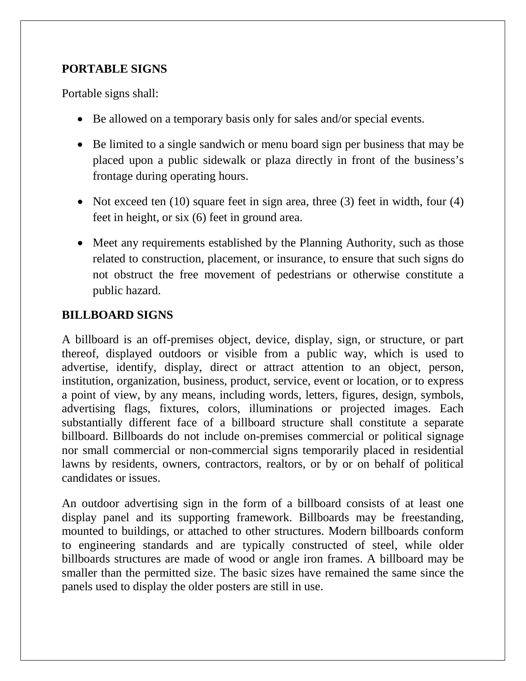## **PORTABLE SIGNS**

Portable signs shall:

- Be allowed on a temporary basis only for sales and/or special events.
- Be limited to a single sandwich or menu board sign per business that may be placed upon a public sidewalk or plaza directly in front of the business's frontage during operating hours.
- Not exceed ten (10) square feet in sign area, three (3) feet in width, four (4) feet in height, or six (6) feet in ground area.
- Meet any requirements established by the Planning Authority, such as those related to construction, placement, or insurance, to ensure that such signs do not obstruct the free movement of pedestrians or otherwise constitute a public hazard.

## **BILLBOARD SIGNS**

A billboard is an off-premises object, device, display, sign, or structure, or part thereof, displayed outdoors or visible from a public way, which is used to advertise, identify, display, direct or attract attention to an object, person, institution, organization, business, product, service, event or location, or to express a point of view, by any means, including words, letters, figures, design, symbols, advertising flags, fixtures, colors, illuminations or projected images. Each substantially different face of a billboard structure shall constitute a separate billboard. Billboards do not include on-premises commercial or political signage nor small commercial or non-commercial signs temporarily placed in residential lawns by residents, owners, contractors, realtors, or by or on behalf of political candidates or issues.

An outdoor advertising sign in the form of a billboard consists of at least one display panel and its supporting framework. Billboards may be freestanding, mounted to buildings, or attached to other structures. Modern billboards conform to engineering standards and are typically constructed of steel, while older billboards structures are made of wood or angle iron frames. A billboard may be smaller than the permitted size. The basic sizes have remained the same since the panels used to display the older posters are still in use.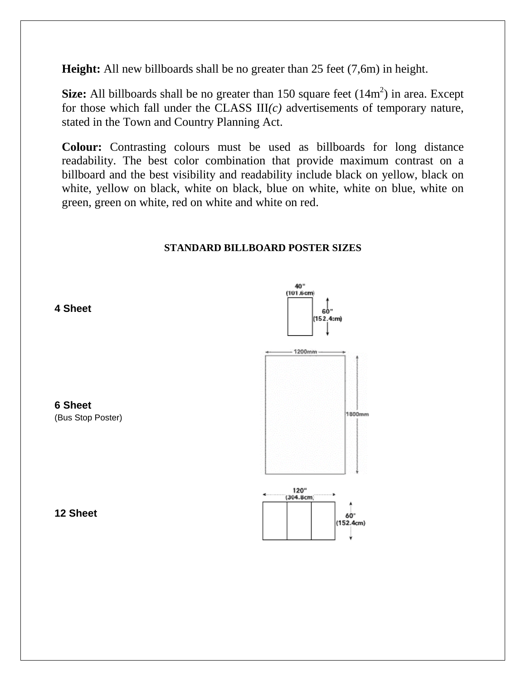**Height:** All new billboards shall be no greater than 25 feet (7,6m) in height.

**Size:** All billboards shall be no greater than  $150$  square feet  $(14m^2)$  in area. Except for those which fall under the CLASS III*(c)* advertisements of temporary nature, stated in the Town and Country Planning Act.

**Colour:** Contrasting colours must be used as billboards for long distance readability. The best color combination that provide maximum contrast on a billboard and the best visibility and readability include black on yellow, black on white, yellow on black, white on black, blue on white, white on blue, white on green, green on white, red on white and white on red.

#### **STANDARD BILLBOARD POSTER SIZES**





 **4 Sheet**



 **6 Sheet**

 **12 Sheet**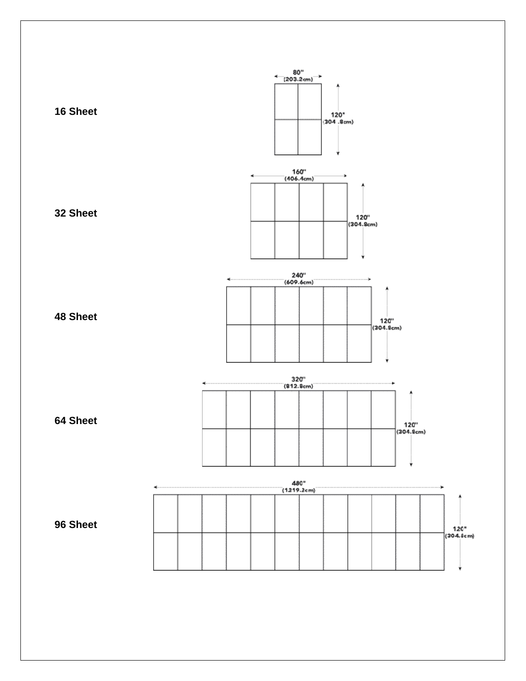